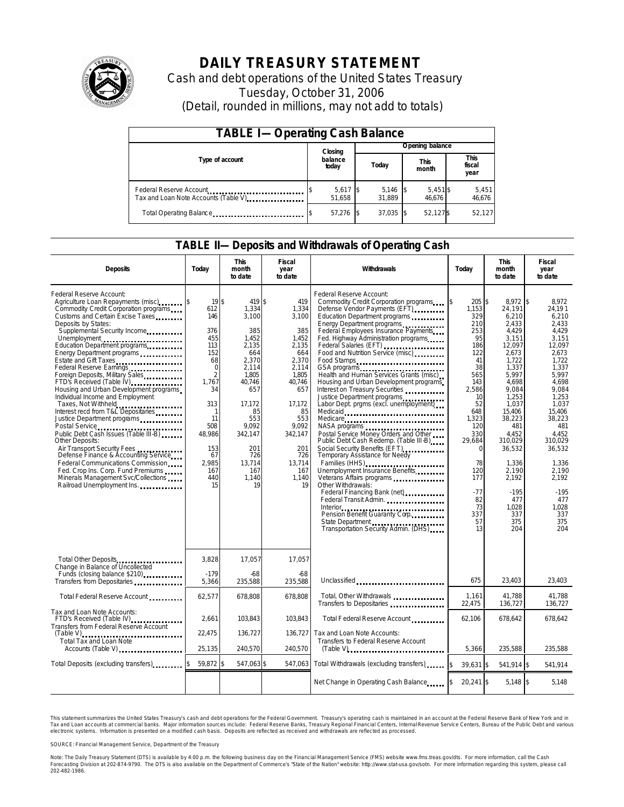

# **DAILY TREASURY STATEMENT**

Cash and debt operations of the United States Treasury Tuesday, October 31, 2006 (Detail, rounded in millions, may not add to totals)

| <b>TABLE I-Operating Cash Balance</b>                            |                            |                      |  |                 |  |                      |  |                               |
|------------------------------------------------------------------|----------------------------|----------------------|--|-----------------|--|----------------------|--|-------------------------------|
|                                                                  | Opening balance<br>Closing |                      |  |                 |  |                      |  |                               |
| Type of account                                                  |                            | balance<br>today     |  | Today           |  | <b>This</b><br>month |  | <b>This</b><br>fiscal<br>year |
| Federal Reserve Account<br>Tax and Loan Note Accounts (Table V). |                            | $5,617$ \$<br>51.658 |  | 5,146<br>31.889 |  | $5,451$ \$<br>46.676 |  | 5,451<br>46,676               |
| Total Operating Balance                                          |                            | 57.276               |  | 37,035          |  | 52,127\$             |  | 52,127                        |

### **TABLE II—Deposits and Withdrawals of Operating Cash**

| <b>Deposits</b>                                                                                                                                                                                                                                                                                                                                                                                                                                                                                                                                                                                                                                                                                                                                                                                                                                     | Today                                                                                                                                                                                       | <b>This</b><br>month<br>to date                                                                                                                                                               | <b>Fiscal</b><br>year<br>to date                                                                                                                                                           | Withdrawals                                                                                                                                                                                                                                                                                                                                                                                                                                                                                                                                                                                                                                                                                                                                                                                                                                                                               | Today                                                                                                                                                                                                                         | <b>This</b><br>month<br>to date                                                                                                                                                                                                                                             | <b>Fiscal</b><br>year<br>to date                                                                                                                                                                                                                                         |
|-----------------------------------------------------------------------------------------------------------------------------------------------------------------------------------------------------------------------------------------------------------------------------------------------------------------------------------------------------------------------------------------------------------------------------------------------------------------------------------------------------------------------------------------------------------------------------------------------------------------------------------------------------------------------------------------------------------------------------------------------------------------------------------------------------------------------------------------------------|---------------------------------------------------------------------------------------------------------------------------------------------------------------------------------------------|-----------------------------------------------------------------------------------------------------------------------------------------------------------------------------------------------|--------------------------------------------------------------------------------------------------------------------------------------------------------------------------------------------|-------------------------------------------------------------------------------------------------------------------------------------------------------------------------------------------------------------------------------------------------------------------------------------------------------------------------------------------------------------------------------------------------------------------------------------------------------------------------------------------------------------------------------------------------------------------------------------------------------------------------------------------------------------------------------------------------------------------------------------------------------------------------------------------------------------------------------------------------------------------------------------------|-------------------------------------------------------------------------------------------------------------------------------------------------------------------------------------------------------------------------------|-----------------------------------------------------------------------------------------------------------------------------------------------------------------------------------------------------------------------------------------------------------------------------|--------------------------------------------------------------------------------------------------------------------------------------------------------------------------------------------------------------------------------------------------------------------------|
| Federal Reserve Account:<br>Agriculture Loan Repayments (misc)<br>Commodity Credit Corporation programs<br>Customs and Certain Excise Taxes<br>Deposits by States:<br>Supplemental Security Income<br>Unemployment<br>Education Department programs<br>Energy Department programs<br>Federal Reserve Earnings<br>Foreign Deposits, Military Sales<br>FTD's Received (Table IV)<br>Housing and Urban Development programs<br>Individual Income and Employment<br>Taxes, Not Withheld<br>Interest recd from T&L Depositaries<br>Justice Department programs<br>Public Debt Cash Issues (Table III-B)<br><b>Other Deposits:</b><br>Air Transport Security Fees<br>Defense Finance & Accounting Service<br>Federal Communications Commission<br>Fed. Crop Ins. Corp. Fund Premiums<br>Minerals Management Svc/Collections<br>Railroad Unemployment Ins. | 19S<br>612<br>146<br>376<br>455<br>113<br>152<br>68<br>$\mathbf 0$<br>$\overline{2}$<br>1,767<br>34<br>313<br>$\mathbf{1}$<br>11<br>508<br>48,986<br>153<br>67<br>2.985<br>167<br>440<br>15 | 419 \$<br>1,334<br>3,100<br>385<br>1.452<br>2.135<br>664<br>2,370<br>2,114<br>1.805<br>40,746<br>657<br>17.172<br>85<br>553<br>9.092<br>342,147<br>201<br>726<br>13.714<br>167<br>1,140<br>19 | 419<br>1,334<br>3,100<br>385<br>1.452<br>2.135<br>664<br>2,370<br>2,114<br>1.805<br>40,746<br>657<br>17.172<br>85<br>553<br>9.092<br>342,147<br>201<br>726<br>13.714<br>167<br>1,140<br>19 | Federal Reserve Account:<br>Commodity Credit Corporation programs<br>Defense Vendor Payments (EFT)<br>Education Department programs<br>Energy Department programs<br>Federal Employees Insurance Payments<br>Fed. Highway Administration programs<br>Federal Salaries (EFT)<br>Food and Nutrition Service (misc)<br>Food Stamps<br>GSA programs<br>Health and Human Services Grants (misc)<br>Housing and Urban Development programs<br>Interest on Treasury Securities<br>Justice Department programs<br>Labor Dept. prgms (excl. unemployment)<br>Medicaid<br>Medicare<br>NASA programs<br>Postal Service Money Orders and Other<br>Public Debt Cash Redemp. (Table III-B)<br>Temporary Assistance for Needy<br>Families (HHS)<br>Unemployment Insurance Benefits<br>Other Withdrawals:<br>Federal Financing Bank (net)<br><br>State Department<br>Transportation Security Admin. (DHS) | 205 \$<br>\$<br>1,153<br>329<br>210<br>253<br>95<br>186<br>122<br>41<br>38<br>565<br>143<br>2.586<br>10<br>52<br>648<br>1,323<br>120<br>330<br>29.684<br>$\Omega$<br>78<br>120<br>177<br>$-77$<br>82<br>73<br>337<br>57<br>13 | 8,972 \$<br>24,191<br>6,210<br>2.433<br>4,429<br>3.151<br>12,097<br>2.673<br>1.722<br>1,337<br>5.997<br>4,698<br>9.084<br>1,253<br>1.037<br>15.406<br>38,223<br>481<br>4.452<br>310.029<br>36,532<br>1,336<br>2,190<br>2,192<br>$-195$<br>477<br>1.028<br>337<br>375<br>204 | 8,972<br>24,191<br>6,210<br>2.433<br>4,429<br>3.151<br>12.097<br>2.673<br>1.722<br>1,337<br>5.997<br>4.698<br>9.084<br>1.253<br>1.037<br>15.406<br>38,223<br>481<br>4.452<br>310.029<br>36.532<br>1.336<br>2,190<br>2,192<br>$-195$<br>477<br>1.028<br>337<br>375<br>204 |
| Total Other Deposits<br>Change in Balance of Uncollected<br>Funds (closing balance \$210)<br>Funds (closing balance \$210)<br>Transfers from Depositaries                                                                                                                                                                                                                                                                                                                                                                                                                                                                                                                                                                                                                                                                                           | 3.828<br>$-179$<br>5,366                                                                                                                                                                    | 17,057<br>-68<br>235.588                                                                                                                                                                      | 17,057<br>$-68$<br>235.588                                                                                                                                                                 | Unclassified<br>                                                                                                                                                                                                                                                                                                                                                                                                                                                                                                                                                                                                                                                                                                                                                                                                                                                                          | 675                                                                                                                                                                                                                           | 23,403                                                                                                                                                                                                                                                                      | 23,403                                                                                                                                                                                                                                                                   |
| Total Federal Reserve Account                                                                                                                                                                                                                                                                                                                                                                                                                                                                                                                                                                                                                                                                                                                                                                                                                       | 62,577                                                                                                                                                                                      | 678,808                                                                                                                                                                                       | 678,808                                                                                                                                                                                    | Total, Other Withdrawals<br>Transfers to Depositaries                                                                                                                                                                                                                                                                                                                                                                                                                                                                                                                                                                                                                                                                                                                                                                                                                                     | 1,161<br>22,475                                                                                                                                                                                                               | 41,788<br>136,727                                                                                                                                                                                                                                                           | 41.788<br>136,727                                                                                                                                                                                                                                                        |
| Tax and Loan Note Accounts:<br>FTD's Received (Table IV)<br>Transfers from Federal Reserve Account                                                                                                                                                                                                                                                                                                                                                                                                                                                                                                                                                                                                                                                                                                                                                  | 2,661<br>22,475                                                                                                                                                                             | 103,843<br>136,727                                                                                                                                                                            | 103,843<br>136.727                                                                                                                                                                         | Total Federal Reserve Account<br>Tax and Loan Note Accounts:                                                                                                                                                                                                                                                                                                                                                                                                                                                                                                                                                                                                                                                                                                                                                                                                                              | 62,106                                                                                                                                                                                                                        | 678,642                                                                                                                                                                                                                                                                     | 678,642                                                                                                                                                                                                                                                                  |
| <b>Total Tax and Loan Note</b><br>Accounts (Table V)                                                                                                                                                                                                                                                                                                                                                                                                                                                                                                                                                                                                                                                                                                                                                                                                | 25,135                                                                                                                                                                                      | 240.570                                                                                                                                                                                       | 240,570                                                                                                                                                                                    | Transfers to Federal Reserve Account                                                                                                                                                                                                                                                                                                                                                                                                                                                                                                                                                                                                                                                                                                                                                                                                                                                      | 5.366                                                                                                                                                                                                                         | 235,588                                                                                                                                                                                                                                                                     | 235.588                                                                                                                                                                                                                                                                  |
| Total Deposits (excluding transfers) <b>Transfers</b>                                                                                                                                                                                                                                                                                                                                                                                                                                                                                                                                                                                                                                                                                                                                                                                               | 59,872 \$                                                                                                                                                                                   | 547,063 \$                                                                                                                                                                                    | 547,063                                                                                                                                                                                    | Total Withdrawals (excluding transfers)                                                                                                                                                                                                                                                                                                                                                                                                                                                                                                                                                                                                                                                                                                                                                                                                                                                   | \$<br>39.631 \$                                                                                                                                                                                                               | 541.914 \$                                                                                                                                                                                                                                                                  | 541.914                                                                                                                                                                                                                                                                  |
|                                                                                                                                                                                                                                                                                                                                                                                                                                                                                                                                                                                                                                                                                                                                                                                                                                                     |                                                                                                                                                                                             |                                                                                                                                                                                               |                                                                                                                                                                                            | Net Change in Operating Cash Balance                                                                                                                                                                                                                                                                                                                                                                                                                                                                                                                                                                                                                                                                                                                                                                                                                                                      | $20,241$ \$                                                                                                                                                                                                                   | $5.148$ \$                                                                                                                                                                                                                                                                  | 5.148                                                                                                                                                                                                                                                                    |

This statement summarizes the United States Treasury's cash and debt operations for the Federal Government. Treasury's operating cash is maintained in an account at the Federal Reserve Bank of New York and in Tax and Loan accounts at commercial banks. Major information sources include: Federal Reserve Banks, Treasury Regional Financial Centers, Internal Revenue Service Centers, Bureau of the Public Debt and various<br>electronic s

SOURCE: Financial Management Service, Department of the Treasury

Note: The Daily Treasury Statement (DTS) is available by 4:00 p.m. the following business day on the Financial Management Service (FMS) website www.fms.treas.gov/dts.<br>Forecasting Division at 202-874-9790. The DTS is also a 'S) is available by 4:00 p.m. the following business day on the Financial Management Service (FMS) website www.fms.treas.gov/dts. For more information, call the Cash<br>The DTS is also available on the Department of Commerce'